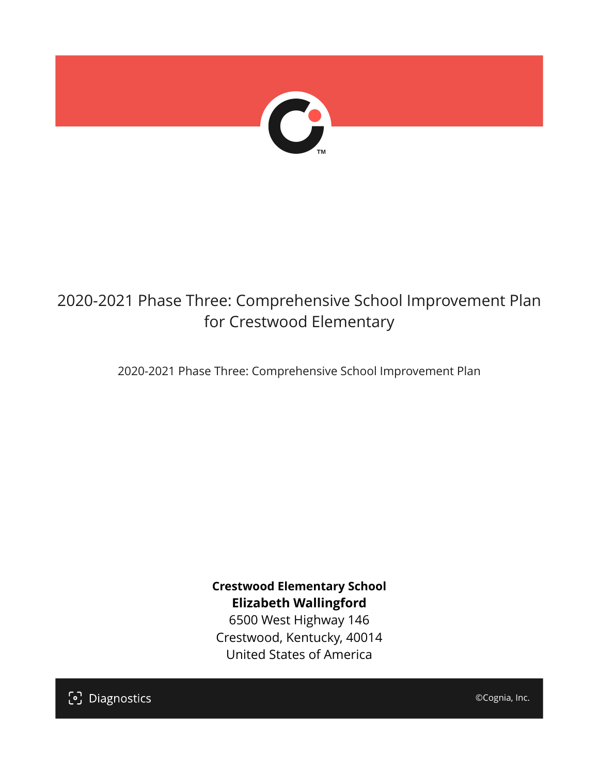

## 2020-2021 Phase Three: Comprehensive School Improvement Plan for Crestwood Elementary

2020-2021 Phase Three: Comprehensive School Improvement Plan

**Crestwood Elementary School Elizabeth Wallingford**

6500 West Highway 146 Crestwood, Kentucky, 40014 United States of America

[၁] Diagnostics

©Cognia, Inc.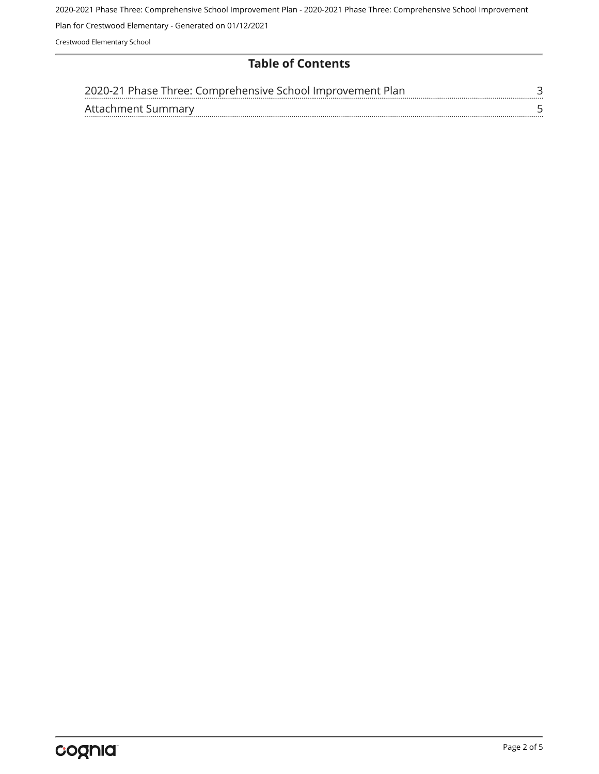2020-2021 Phase Three: Comprehensive School Improvement Plan - 2020-2021 Phase Three: Comprehensive School Improvement

Plan for Crestwood Elementary - Generated on 01/12/2021

Crestwood Elementary School

#### **Table of Contents**

| 2020-21 Phase Three: Comprehensive School Improvement Plan |  |
|------------------------------------------------------------|--|
| Attachment Summary                                         |  |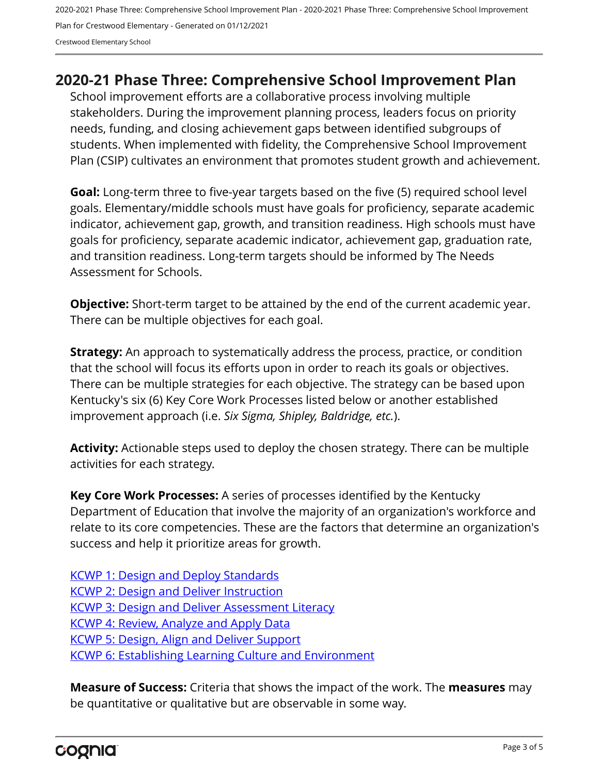2020-2021 Phase Three: Comprehensive School Improvement Plan - 2020-2021 Phase Three: Comprehensive School Improvement Plan for Crestwood Elementary - Generated on 01/12/2021 Crestwood Elementary School

### <span id="page-2-0"></span>**2020-21 Phase Three: Comprehensive School Improvement Plan**

School improvement efforts are a collaborative process involving multiple stakeholders. During the improvement planning process, leaders focus on priority needs, funding, and closing achievement gaps between identified subgroups of students. When implemented with fidelity, the Comprehensive School Improvement Plan (CSIP) cultivates an environment that promotes student growth and achievement.

**Goal:** Long-term three to five-year targets based on the five (5) required school level goals. Elementary/middle schools must have goals for proficiency, separate academic indicator, achievement gap, growth, and transition readiness. High schools must have goals for proficiency, separate academic indicator, achievement gap, graduation rate, and transition readiness. Long-term targets should be informed by The Needs Assessment for Schools.

**Objective:** Short-term target to be attained by the end of the current academic year. There can be multiple objectives for each goal.

**Strategy:** An approach to systematically address the process, practice, or condition that the school will focus its efforts upon in order to reach its goals or objectives. There can be multiple strategies for each objective. The strategy can be based upon Kentucky's six (6) Key Core Work Processes listed below or another established improvement approach (i.e. *Six Sigma, Shipley, Baldridge, etc.*).

**Activity:** Actionable steps used to deploy the chosen strategy. There can be multiple activities for each strategy.

**Key Core Work Processes:** A series of processes identified by the Kentucky Department of Education that involve the majority of an organization's workforce and relate to its core competencies. These are the factors that determine an organization's success and help it prioritize areas for growth.

[KCWP 1: Design and Deploy Standards](https://education.ky.gov/school/csip/Documents/KCWP%201%20Strategic%20Design%20and%20Deploy%20Standards.pdf) [KCWP 2: Design and Deliver Instruction](https://education.ky.gov/school/csip/Documents/KCWP%202%20Strategic%20Design%20and%20Deliver%20Instruction.pdf) [KCWP 3: Design and Deliver Assessment Literacy](https://education.ky.gov/school/csip/Documents/KCWP%203%20Strategic%20Design%20and%20Deliver%20Assessment%20Literacy.pdf) [KCWP 4: Review, Analyze and Apply Data](https://education.ky.gov/school/csip/Documents/KCWP%204%20Strategic%20Review%20Analyze%20and%20Apply%20Data.pdf) [KCWP 5: Design, Align and Deliver Support](https://education.ky.gov/school/csip/Documents/KCWP%205%20Strategic%20Design%20Align%20Deliver%20Support%20Processes.pdf) [KCWP 6: Establishing Learning Culture and Environment](https://education.ky.gov/school/csip/Documents/KCWP%206%20Strategic%20Establish%20Learning%20Culture%20and%20Environment.pdf)

**Measure of Success:** Criteria that shows the impact of the work. The **measures** may be quantitative or qualitative but are observable in some way.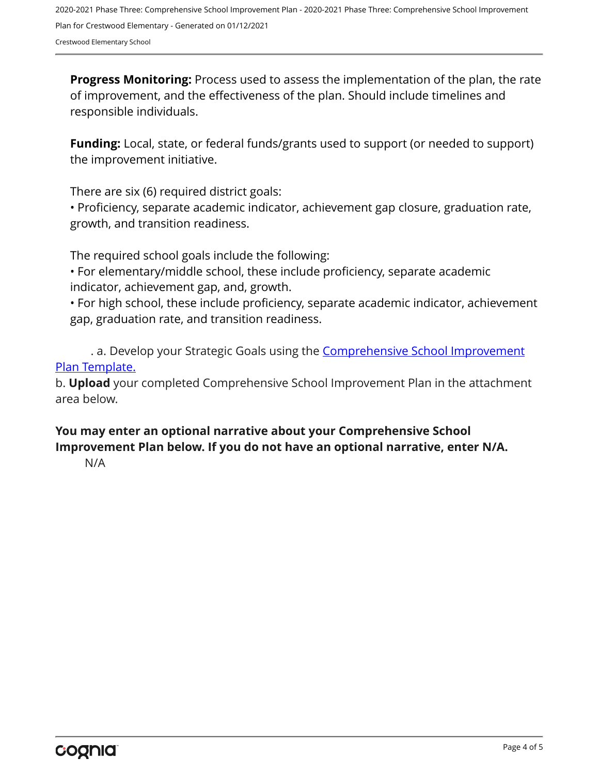2020-2021 Phase Three: Comprehensive School Improvement Plan - 2020-2021 Phase Three: Comprehensive School Improvement Plan for Crestwood Elementary - Generated on 01/12/2021 Crestwood Elementary School

**Progress Monitoring:** Process used to assess the implementation of the plan, the rate of improvement, and the effectiveness of the plan. Should include timelines and responsible individuals.

**Funding:** Local, state, or federal funds/grants used to support (or needed to support) the improvement initiative.

There are six (6) required district goals:

• Proficiency, separate academic indicator, achievement gap closure, graduation rate, growth, and transition readiness.

The required school goals include the following:

• For elementary/middle school, these include proficiency, separate academic indicator, achievement gap, and, growth.

• For high school, these include proficiency, separate academic indicator, achievement gap, graduation rate, and transition readiness.

. a. Develop your Strategic Goals using the **[Comprehensive School Improvement](https://education.ky.gov/school/csip/Documents/KDE%20Comprehensive%20Improvement%20Plan%20for%20School.docx)** [Plan Template.](https://education.ky.gov/school/csip/Documents/KDE%20Comprehensive%20Improvement%20Plan%20for%20School.docx)

b. **Upload** your completed Comprehensive School Improvement Plan in the attachment area below.

#### **You may enter an optional narrative about your Comprehensive School Improvement Plan below. If you do not have an optional narrative, enter N/A.**

N/A